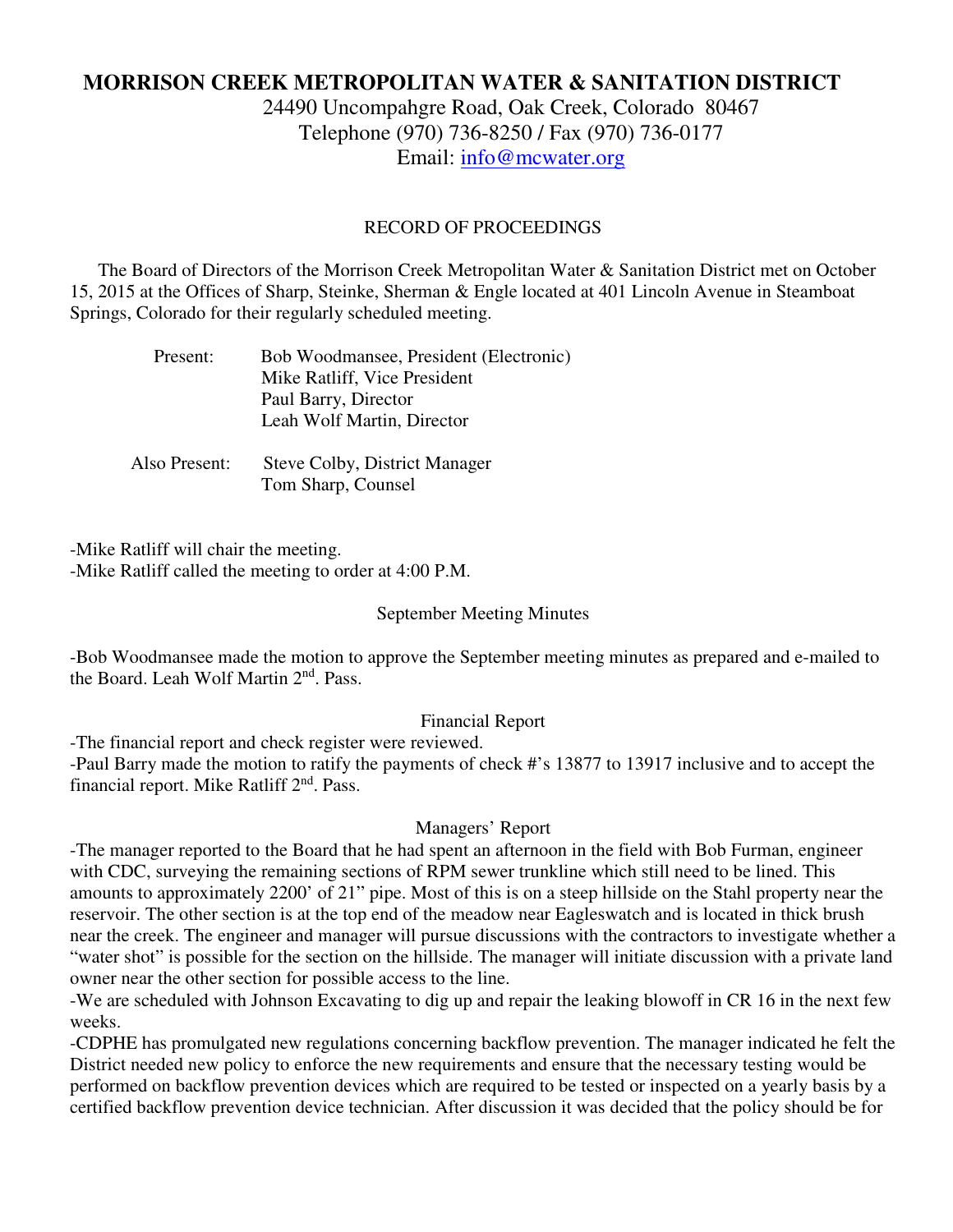# **MORRISON CREEK METROPOLITAN WATER & SANITATION DISTRICT**

24490 Uncompahgre Road, Oak Creek, Colorado 80467 Telephone (970) 736-8250 / Fax (970) 736-0177 Email: info@mcwater.org

#### RECORD OF PROCEEDINGS

 The Board of Directors of the Morrison Creek Metropolitan Water & Sanitation District met on October 15, 2015 at the Offices of Sharp, Steinke, Sherman & Engle located at 401 Lincoln Avenue in Steamboat Springs, Colorado for their regularly scheduled meeting.

| Present: | Bob Woodmansee, President (Electronic) |
|----------|----------------------------------------|
|          | Mike Ratliff, Vice President           |
|          | Paul Barry, Director                   |
|          | Leah Wolf Martin, Director             |
|          |                                        |
|          |                                        |

 Also Present: Steve Colby, District Manager Tom Sharp, Counsel

-Mike Ratliff will chair the meeting. -Mike Ratliff called the meeting to order at 4:00 P.M.

#### September Meeting Minutes

-Bob Woodmansee made the motion to approve the September meeting minutes as prepared and e-mailed to the Board. Leah Wolf Martin 2<sup>nd</sup>, Pass.

# Financial Report

-The financial report and check register were reviewed.

-Paul Barry made the motion to ratify the payments of check #'s 13877 to 13917 inclusive and to accept the financial report. Mike Ratliff 2<sup>nd</sup>. Pass.

#### Managers' Report

-The manager reported to the Board that he had spent an afternoon in the field with Bob Furman, engineer with CDC, surveying the remaining sections of RPM sewer trunkline which still need to be lined. This amounts to approximately 2200' of 21" pipe. Most of this is on a steep hillside on the Stahl property near the reservoir. The other section is at the top end of the meadow near Eagleswatch and is located in thick brush near the creek. The engineer and manager will pursue discussions with the contractors to investigate whether a "water shot" is possible for the section on the hillside. The manager will initiate discussion with a private land owner near the other section for possible access to the line.

-We are scheduled with Johnson Excavating to dig up and repair the leaking blowoff in CR 16 in the next few weeks.

-CDPHE has promulgated new regulations concerning backflow prevention. The manager indicated he felt the District needed new policy to enforce the new requirements and ensure that the necessary testing would be performed on backflow prevention devices which are required to be tested or inspected on a yearly basis by a certified backflow prevention device technician. After discussion it was decided that the policy should be for